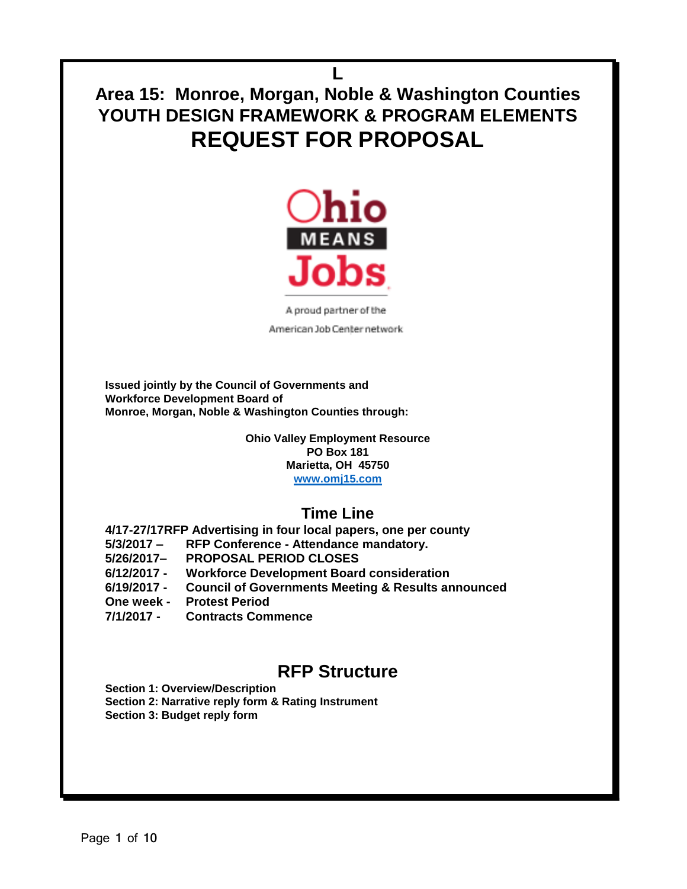**L Area 15: Monroe, Morgan, Noble & Washington Counties YOUTH DESIGN FRAMEWORK & PROGRAM ELEMENTS REQUEST FOR PROPOSAL** 



A proud partner of the American Job Center network

**Issued jointly by the Council of Governments and Workforce Development Board of Monroe, Morgan, Noble & Washington Counties through:**

> **Ohio Valley Employment Resource PO Box 181 Marietta, OH 45750 [www.omj15.com](http://www.omj15.com/)**

## **Time Line**

**4/17-27/17RFP Advertising in four local papers, one per county**

- **5/3/2017 – RFP Conference - Attendance mandatory.**
- **5/26/2017– PROPOSAL PERIOD CLOSES**
- **6/12/2017 - Workforce Development Board consideration**
- **6/19/2017 - Council of Governments Meeting & Results announced**

**One week - Protest Period**

**7/1/2017 - Contracts Commence**

# **RFP Structure**

**Section 1: Overview/Description Section 2: Narrative reply form & Rating Instrument Section 3: Budget reply form**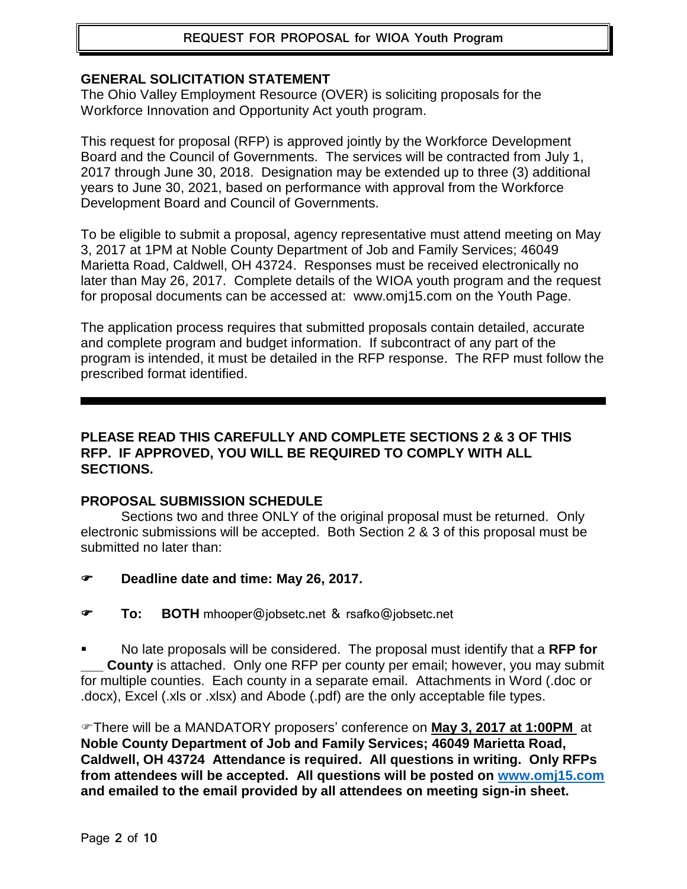## **REQUEST FOR PROPOSAL for WIOA Youth Program**

#### **GENERAL SOLICITATION STATEMENT**

The Ohio Valley Employment Resource (OVER) is soliciting proposals for the Workforce Innovation and Opportunity Act youth program.

This request for proposal (RFP) is approved jointly by the Workforce Development Board and the Council of Governments. The services will be contracted from July 1, 2017 through June 30, 2018. Designation may be extended up to three (3) additional years to June 30, 2021, based on performance with approval from the Workforce Development Board and Council of Governments.

To be eligible to submit a proposal, agency representative must attend meeting on May 3, 2017 at 1PM at Noble County Department of Job and Family Services; 46049 Marietta Road, Caldwell, OH 43724. Responses must be received electronically no later than May 26, 2017. Complete details of the WIOA youth program and the request for proposal documents can be accessed at: www.omj15.com on the Youth Page.

The application process requires that submitted proposals contain detailed, accurate and complete program and budget information. If subcontract of any part of the program is intended, it must be detailed in the RFP response. The RFP must follow the prescribed format identified.

#### **PLEASE READ THIS CAREFULLY AND COMPLETE SECTIONS 2 & 3 OF THIS RFP. IF APPROVED, YOU WILL BE REQUIRED TO COMPLY WITH ALL SECTIONS.**

#### **PROPOSAL SUBMISSION SCHEDULE**

Sections two and three ONLY of the original proposal must be returned. Only electronic submissions will be accepted. Both Section 2 & 3 of this proposal must be submitted no later than:

- **Deadline date and time: May 26, 2017.**
- **To: BOTH** mhooper@jobsetc.net & rsafko@jobsetc.net

 No late proposals will be considered. The proposal must identify that a **RFP for County** is attached. Only one RFP per county per email; however, you may submit for multiple counties. Each county in a separate email. Attachments in Word (.doc or .docx), Excel (.xls or .xlsx) and Abode (.pdf) are the only acceptable file types.

There will be a MANDATORY proposers' conference on **May 3, 2017 at 1:00PM** at **Noble County Department of Job and Family Services; 46049 Marietta Road, Caldwell, OH 43724 Attendance is required. All questions in writing. Only RFPs from attendees will be accepted. All questions will be posted on [www.omj15.com](http://www.omj15.com/) and emailed to the email provided by all attendees on meeting sign-in sheet.**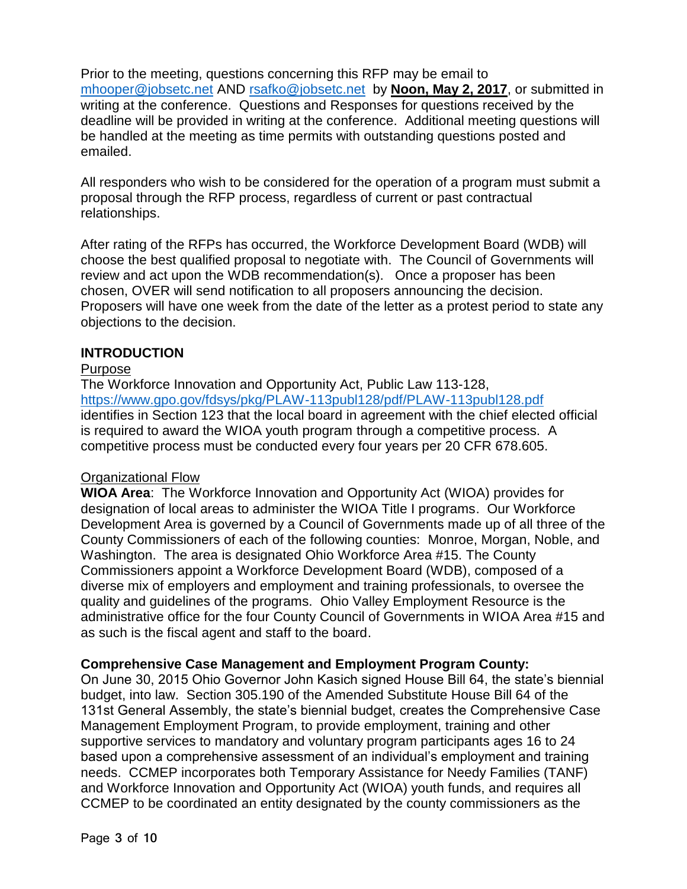Prior to the meeting, questions concerning this RFP may be email to [mhooper@jobsetc.net](mailto:mhooper@jobsetc.net) AND [rsafko@jobsetc.net](mailto:rsafko@jobsetc.net) by **Noon, May 2, 2017**, or submitted in writing at the conference. Questions and Responses for questions received by the deadline will be provided in writing at the conference. Additional meeting questions will be handled at the meeting as time permits with outstanding questions posted and emailed.

All responders who wish to be considered for the operation of a program must submit a proposal through the RFP process, regardless of current or past contractual relationships.

After rating of the RFPs has occurred, the Workforce Development Board (WDB) will choose the best qualified proposal to negotiate with. The Council of Governments will review and act upon the WDB recommendation(s). Once a proposer has been chosen, OVER will send notification to all proposers announcing the decision. Proposers will have one week from the date of the letter as a protest period to state any objections to the decision.

#### **INTRODUCTION**

#### Purpose

The Workforce Innovation and Opportunity Act, Public Law 113-128, <https://www.gpo.gov/fdsys/pkg/PLAW-113publ128/pdf/PLAW-113publ128.pdf> identifies in Section 123 that the local board in agreement with the chief elected official is required to award the WIOA youth program through a competitive process. A competitive process must be conducted every four years per 20 CFR 678.605.

#### Organizational Flow

**WIOA Area**: The Workforce Innovation and Opportunity Act (WIOA) provides for designation of local areas to administer the WIOA Title I programs. Our Workforce Development Area is governed by a Council of Governments made up of all three of the County Commissioners of each of the following counties: Monroe, Morgan, Noble, and Washington. The area is designated Ohio Workforce Area #15. The County Commissioners appoint a Workforce Development Board (WDB), composed of a diverse mix of employers and employment and training professionals, to oversee the quality and guidelines of the programs. Ohio Valley Employment Resource is the administrative office for the four County Council of Governments in WIOA Area #15 and as such is the fiscal agent and staff to the board.

#### **Comprehensive Case Management and Employment Program County:**

On June 30, 2015 Ohio Governor John Kasich signed House Bill 64, the state's biennial budget, into law. Section 305.190 of the Amended Substitute House Bill 64 of the 131st General Assembly, the state's biennial budget, creates the Comprehensive Case Management Employment Program, to provide employment, training and other supportive services to mandatory and voluntary program participants ages 16 to 24 based upon a comprehensive assessment of an individual's employment and training needs. CCMEP incorporates both Temporary Assistance for Needy Families (TANF) and Workforce Innovation and Opportunity Act (WIOA) youth funds, and requires all CCMEP to be coordinated an entity designated by the county commissioners as the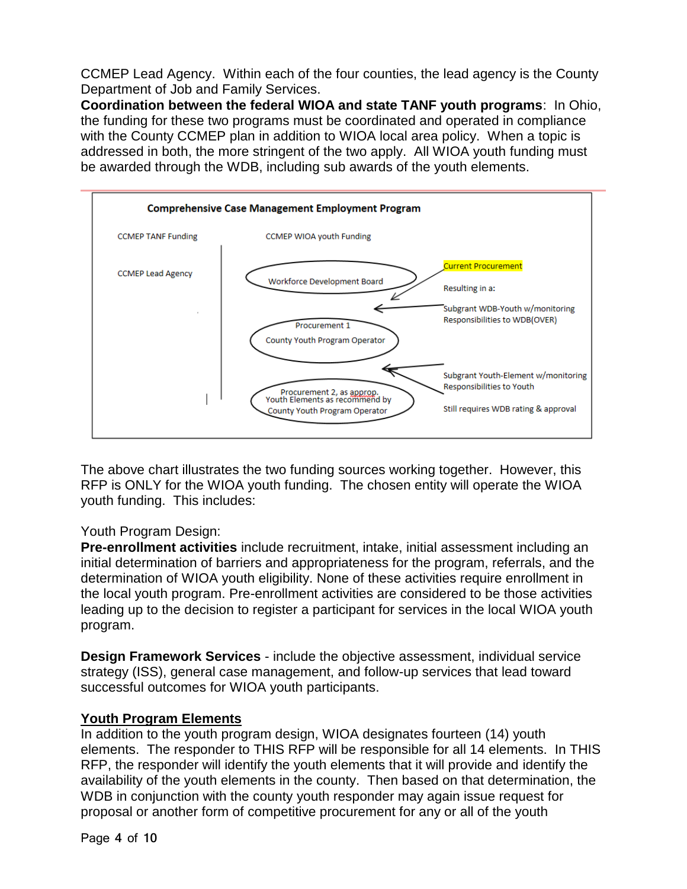CCMEP Lead Agency. Within each of the four counties, the lead agency is the County Department of Job and Family Services.

**Coordination between the federal WIOA and state TANF youth programs**: In Ohio, the funding for these two programs must be coordinated and operated in compliance with the County CCMEP plan in addition to WIOA local area policy. When a topic is addressed in both, the more stringent of the two apply. All WIOA youth funding must be awarded through the WDB, including sub awards of the youth elements.



The above chart illustrates the two funding sources working together. However, this RFP is ONLY for the WIOA youth funding. The chosen entity will operate the WIOA youth funding. This includes:

## Youth Program Design:

**Pre-enrollment activities** include recruitment, intake, initial assessment including an initial determination of barriers and appropriateness for the program, referrals, and the determination of WIOA youth eligibility. None of these activities require enrollment in the local youth program. Pre-enrollment activities are considered to be those activities leading up to the decision to register a participant for services in the local WIOA youth program.

**Design Framework Services** - include the objective assessment, individual service strategy (ISS), general case management, and follow-up services that lead toward successful outcomes for WIOA youth participants.

## **Youth Program Elements**

In addition to the youth program design, WIOA designates fourteen (14) youth elements. The responder to THIS RFP will be responsible for all 14 elements. In THIS RFP, the responder will identify the youth elements that it will provide and identify the availability of the youth elements in the county. Then based on that determination, the WDB in conjunction with the county youth responder may again issue request for proposal or another form of competitive procurement for any or all of the youth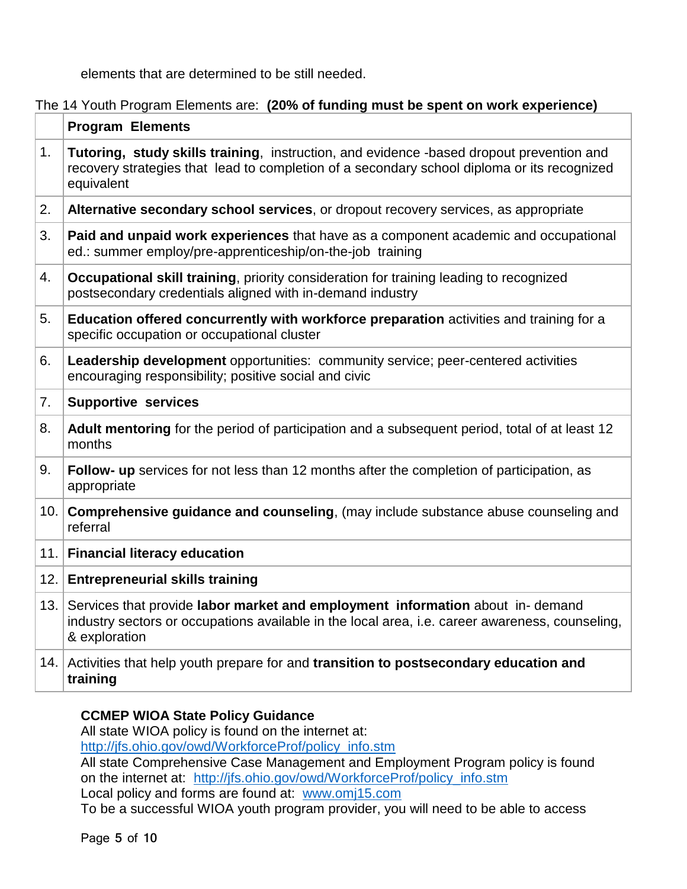elements that are determined to be still needed.

## The 14 Youth Program Elements are: **(20% of funding must be spent on work experience)**

|      | <b>Program Elements</b>                                                                                                                                                                               |  |  |  |  |  |
|------|-------------------------------------------------------------------------------------------------------------------------------------------------------------------------------------------------------|--|--|--|--|--|
| 1.   | Tutoring, study skills training, instruction, and evidence -based dropout prevention and<br>recovery strategies that lead to completion of a secondary school diploma or its recognized<br>equivalent |  |  |  |  |  |
| 2.   | Alternative secondary school services, or dropout recovery services, as appropriate                                                                                                                   |  |  |  |  |  |
| 3.   | Paid and unpaid work experiences that have as a component academic and occupational<br>ed.: summer employ/pre-apprenticeship/on-the-job training                                                      |  |  |  |  |  |
| 4.   | Occupational skill training, priority consideration for training leading to recognized<br>postsecondary credentials aligned with in-demand industry                                                   |  |  |  |  |  |
| 5.   | Education offered concurrently with workforce preparation activities and training for a<br>specific occupation or occupational cluster                                                                |  |  |  |  |  |
| 6.   | Leadership development opportunities: community service; peer-centered activities<br>encouraging responsibility; positive social and civic                                                            |  |  |  |  |  |
| 7.   | <b>Supportive services</b>                                                                                                                                                                            |  |  |  |  |  |
| 8.   | Adult mentoring for the period of participation and a subsequent period, total of at least 12<br>months                                                                                               |  |  |  |  |  |
| 9.   | Follow- up services for not less than 12 months after the completion of participation, as<br>appropriate                                                                                              |  |  |  |  |  |
| 10.  | Comprehensive guidance and counseling, (may include substance abuse counseling and<br>referral                                                                                                        |  |  |  |  |  |
|      | 11. Financial literacy education                                                                                                                                                                      |  |  |  |  |  |
| 12.1 | <b>Entrepreneurial skills training</b>                                                                                                                                                                |  |  |  |  |  |
| 13.  | Services that provide labor market and employment information about in-demand<br>industry sectors or occupations available in the local area, i.e. career awareness, counseling,<br>& exploration     |  |  |  |  |  |
|      | 14. Activities that help youth prepare for and transition to postsecondary education and<br>training                                                                                                  |  |  |  |  |  |

#### **CCMEP WIOA State Policy Guidance**

All state WIOA policy is found on the internet at: [http://jfs.ohio.gov/owd/WorkforceProf/policy\\_info.stm](http://jfs.ohio.gov/owd/WorkforceProf/policy_info.stm)

All state Comprehensive Case Management and Employment Program policy is found on the internet at: [http://jfs.ohio.gov/owd/WorkforceProf/policy\\_info.stm](http://jfs.ohio.gov/owd/WorkforceProf/policy_info.stm)

Local policy and forms are found at: [www.omj15.com](http://www.omj15.com/)

To be a successful WIOA youth program provider, you will need to be able to access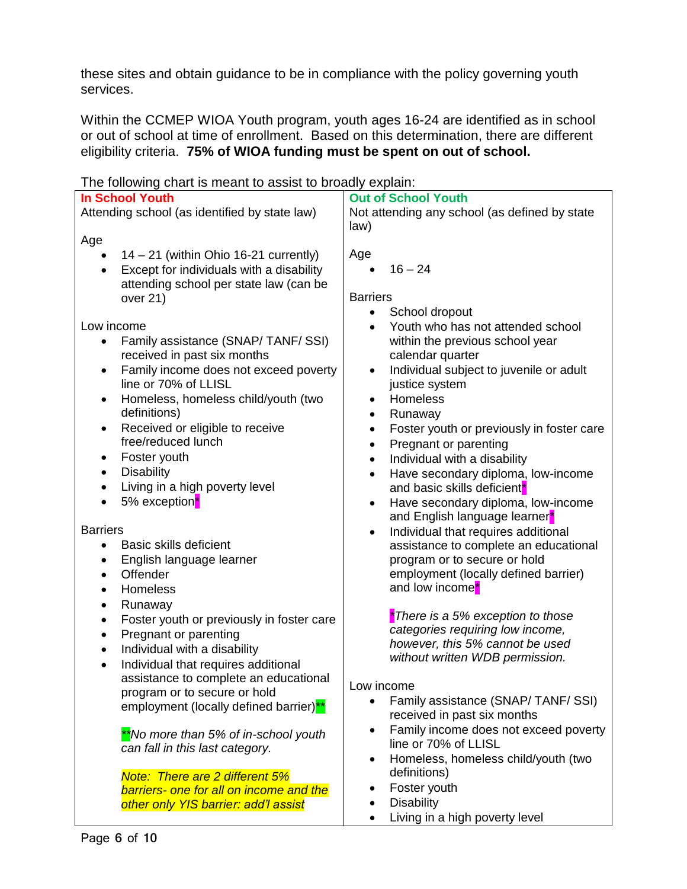these sites and obtain guidance to be in compliance with the policy governing youth services.

Within the CCMEP WIOA Youth program, youth ages 16-24 are identified as in school or out of school at time of enrollment. Based on this determination, there are different eligibility criteria. **75% of WIOA funding must be spent on out of school.**

| The following chart is meant to assist to produit cxplain. |                                                        |  |  |  |  |
|------------------------------------------------------------|--------------------------------------------------------|--|--|--|--|
| <b>In School Youth</b>                                     | <b>Out of School Youth</b>                             |  |  |  |  |
| Attending school (as identified by state law)              | Not attending any school (as defined by state          |  |  |  |  |
|                                                            |                                                        |  |  |  |  |
|                                                            | law)                                                   |  |  |  |  |
| Age                                                        |                                                        |  |  |  |  |
| $14 - 21$ (within Ohio 16-21 currently)<br>$\bullet$       | Age                                                    |  |  |  |  |
|                                                            |                                                        |  |  |  |  |
| Except for individuals with a disability<br>$\bullet$      | $16 - 24$<br>$\bullet$                                 |  |  |  |  |
| attending school per state law (can be                     |                                                        |  |  |  |  |
| over 21)                                                   | <b>Barriers</b>                                        |  |  |  |  |
|                                                            | School dropout<br>$\bullet$                            |  |  |  |  |
|                                                            |                                                        |  |  |  |  |
| Low income                                                 | Youth who has not attended school                      |  |  |  |  |
| Family assistance (SNAP/TANF/SSI)                          | within the previous school year                        |  |  |  |  |
| received in past six months                                | calendar quarter                                       |  |  |  |  |
|                                                            |                                                        |  |  |  |  |
| Family income does not exceed poverty<br>$\bullet$         | Individual subject to juvenile or adult<br>$\bullet$   |  |  |  |  |
| line or 70% of LLISL                                       | justice system                                         |  |  |  |  |
| Homeless, homeless child/youth (two<br>$\bullet$           | <b>Homeless</b><br>$\bullet$                           |  |  |  |  |
|                                                            |                                                        |  |  |  |  |
| definitions)                                               | Runaway<br>$\bullet$                                   |  |  |  |  |
| Received or eligible to receive<br>$\bullet$               | Foster youth or previously in foster care<br>$\bullet$ |  |  |  |  |
| free/reduced lunch                                         | Pregnant or parenting<br>$\bullet$                     |  |  |  |  |
|                                                            |                                                        |  |  |  |  |
| Foster youth<br>٠                                          | Individual with a disability<br>$\bullet$              |  |  |  |  |
| <b>Disability</b><br>$\bullet$                             | Have secondary diploma, low-income<br>$\bullet$        |  |  |  |  |
| Living in a high poverty level<br>$\bullet$                | and basic skills deficient <sup>*</sup>                |  |  |  |  |
|                                                            |                                                        |  |  |  |  |
| 5% exception <sup>*</sup>                                  | Have secondary diploma, low-income<br>$\bullet$        |  |  |  |  |
|                                                            | and English language learner*                          |  |  |  |  |
| <b>Barriers</b>                                            | Individual that requires additional<br>$\bullet$       |  |  |  |  |
| <b>Basic skills deficient</b><br>$\bullet$                 |                                                        |  |  |  |  |
|                                                            | assistance to complete an educational                  |  |  |  |  |
| English language learner<br>$\bullet$                      | program or to secure or hold                           |  |  |  |  |
| Offender<br>$\bullet$                                      | employment (locally defined barrier)                   |  |  |  |  |
| Homeless                                                   | and low income <sup>*</sup>                            |  |  |  |  |
| $\bullet$                                                  |                                                        |  |  |  |  |
| Runaway<br>$\bullet$                                       |                                                        |  |  |  |  |
| Foster youth or previously in foster care<br>$\bullet$     | *There is a 5% exception to those                      |  |  |  |  |
| Pregnant or parenting                                      | categories requiring low income,                       |  |  |  |  |
| $\bullet$                                                  | however, this 5% cannot be used                        |  |  |  |  |
| Individual with a disability<br>$\bullet$                  |                                                        |  |  |  |  |
| Individual that requires additional<br>$\bullet$           | without written WDB permission.                        |  |  |  |  |
| assistance to complete an educational                      |                                                        |  |  |  |  |
|                                                            | ow income.                                             |  |  |  |  |
| program or to secure or hold                               | Family assistance (SNAP/TANF/SSI)                      |  |  |  |  |
| employment (locally defined barrier) <sup>**</sup>         |                                                        |  |  |  |  |
|                                                            | received in past six months                            |  |  |  |  |
| **No more than 5% of in-school youth                       | Family income does not exceed poverty<br>٠             |  |  |  |  |
|                                                            | line or 70% of LLISL                                   |  |  |  |  |
| can fall in this last category.                            |                                                        |  |  |  |  |
|                                                            | Homeless, homeless child/youth (two<br>$\bullet$       |  |  |  |  |
| Note: There are 2 different 5%                             | definitions)                                           |  |  |  |  |
| barriers- one for all on income and the                    | Foster youth                                           |  |  |  |  |
|                                                            |                                                        |  |  |  |  |
| other only YIS barrier: add'l assist                       | <b>Disability</b>                                      |  |  |  |  |
|                                                            | Living in a high poverty level                         |  |  |  |  |

The following chart is meant to assist to broadly explain: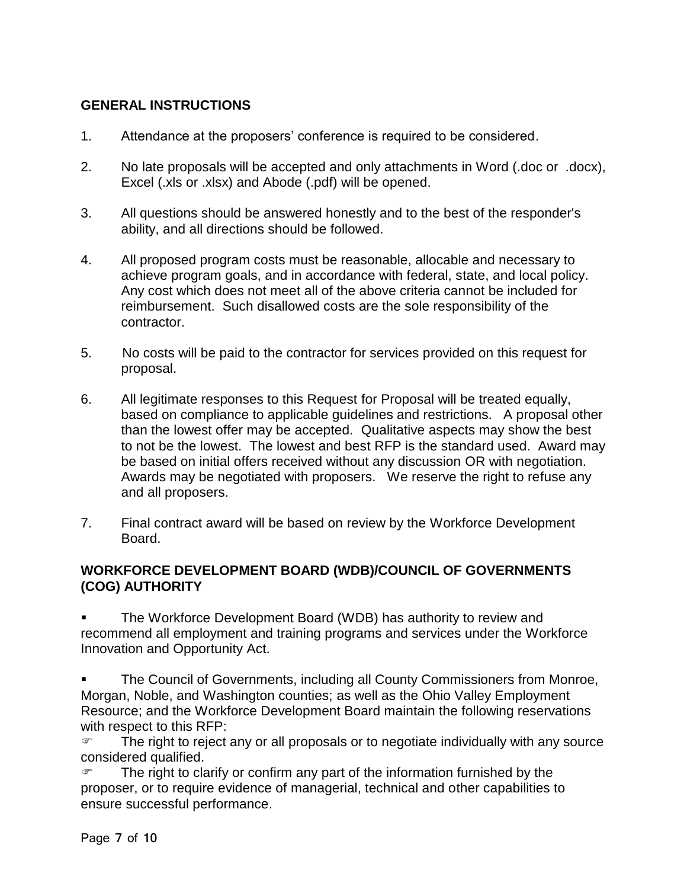## **GENERAL INSTRUCTIONS**

- 1. Attendance at the proposers' conference is required to be considered.
- 2. No late proposals will be accepted and only attachments in Word (.doc or .docx), Excel (.xls or .xlsx) and Abode (.pdf) will be opened.
- 3. All questions should be answered honestly and to the best of the responder's ability, and all directions should be followed.
- 4. All proposed program costs must be reasonable, allocable and necessary to achieve program goals, and in accordance with federal, state, and local policy. Any cost which does not meet all of the above criteria cannot be included for reimbursement. Such disallowed costs are the sole responsibility of the contractor.
- 5. No costs will be paid to the contractor for services provided on this request for proposal.
- 6. All legitimate responses to this Request for Proposal will be treated equally, based on compliance to applicable guidelines and restrictions. A proposal other than the lowest offer may be accepted. Qualitative aspects may show the best to not be the lowest. The lowest and best RFP is the standard used. Award may be based on initial offers received without any discussion OR with negotiation. Awards may be negotiated with proposers. We reserve the right to refuse any and all proposers.
- 7. Final contract award will be based on review by the Workforce Development Board.

## **WORKFORCE DEVELOPMENT BOARD (WDB)/COUNCIL OF GOVERNMENTS (COG) AUTHORITY**

 The Workforce Development Board (WDB) has authority to review and recommend all employment and training programs and services under the Workforce Innovation and Opportunity Act.

 The Council of Governments, including all County Commissioners from Monroe, Morgan, Noble, and Washington counties; as well as the Ohio Valley Employment Resource; and the Workforce Development Board maintain the following reservations with respect to this RFP:

**The right to reject any or all proposals or to negotiate individually with any source** considered qualified.

 The right to clarify or confirm any part of the information furnished by the proposer, or to require evidence of managerial, technical and other capabilities to ensure successful performance.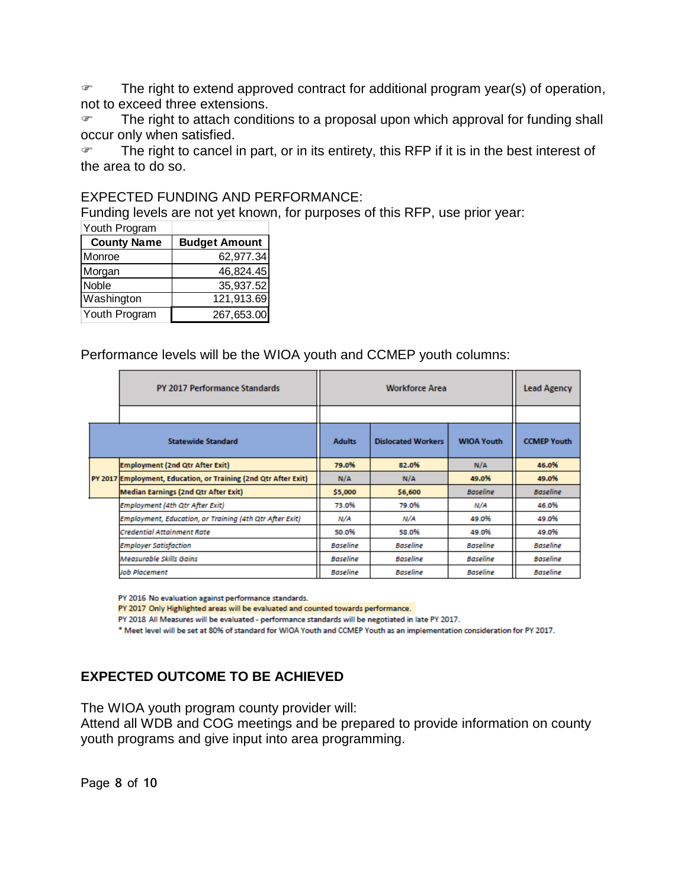The right to extend approved contract for additional program year(s) of operation, not to exceed three extensions.

 The right to attach conditions to a proposal upon which approval for funding shall occur only when satisfied.

The right to cancel in part, or in its entirety, this RFP if it is in the best interest of the area to do so.

#### EXPECTED FUNDING AND PERFORMANCE:

Funding levels are not yet known, for purposes of this RFP, use prior year:

| Youth Program      |                      |  |  |  |
|--------------------|----------------------|--|--|--|
| <b>County Name</b> | <b>Budget Amount</b> |  |  |  |
| Monroe             | 62,977.34            |  |  |  |
| Morgan             | 46,824.45            |  |  |  |
| Noble              | 35,937.52            |  |  |  |
| Washington         | 121,913.69           |  |  |  |
| Youth Program      | 267,653.00           |  |  |  |

Performance levels will be the WIOA youth and CCMEP youth columns:

|  | PY 2017 Performance Standards                                   |                 | <b>Workforce Area</b>     |                   |                    |
|--|-----------------------------------------------------------------|-----------------|---------------------------|-------------------|--------------------|
|  |                                                                 |                 |                           |                   |                    |
|  | <b>Statewide Standard</b>                                       | <b>Adults</b>   | <b>Dislocated Workers</b> | <b>WIOA Youth</b> | <b>CCMEP Youth</b> |
|  | <b>Employment (2nd Qtr After Exit)</b>                          | 79.0%           | 82.0%                     | N/A               | 46.0%              |
|  | PY 2017 Employment, Education, or Training (2nd Qtr After Exit) | N/A             | N/A                       | 49.0%             | 49.0%              |
|  | <b>Median Earnings (2nd Qtr After Exit)</b>                     | \$5,000         | \$6,600                   | <b>Baseline</b>   | <b>Baseline</b>    |
|  | Employment (4th Qtr After Exit)                                 | 73.0%           | 79.0%                     | N/A               | 46.0%              |
|  | Employment, Education, or Training (4th Qtr After Exit)         | N/A             | N/A                       | 49.0%             | 49.0%              |
|  | Credential Attainment Rate                                      | 50.0%           | 58.0%                     | 49.0%             | 49.0%              |
|  | <b>Employer Satisfaction</b>                                    | <b>Baseline</b> | <b>Baseline</b>           | <b>Baseline</b>   | <b>Baseline</b>    |
|  | Measurable Skills Gains                                         | <b>Baseline</b> | <b>Baseline</b>           | <b>Baseline</b>   | <b>Baseline</b>    |
|  | Job Placement                                                   | <b>Baseline</b> | <b>Baseline</b>           | <b>Baseline</b>   | <b>Baseline</b>    |

PY 2016 No evaluation against performance standards.

PY 2017 Only Highlighted areas will be evaluated and counted towards performance.

PY 2018 All Measures will be evaluated - performance standards will be negotiated in late PY 2017.

\* Meet level will be set at 80% of standard for WIOA Youth and CCMEP Youth as an implementation consideration for PY 2017.

## **EXPECTED OUTCOME TO BE ACHIEVED**

The WIOA youth program county provider will:

Attend all WDB and COG meetings and be prepared to provide information on county youth programs and give input into area programming.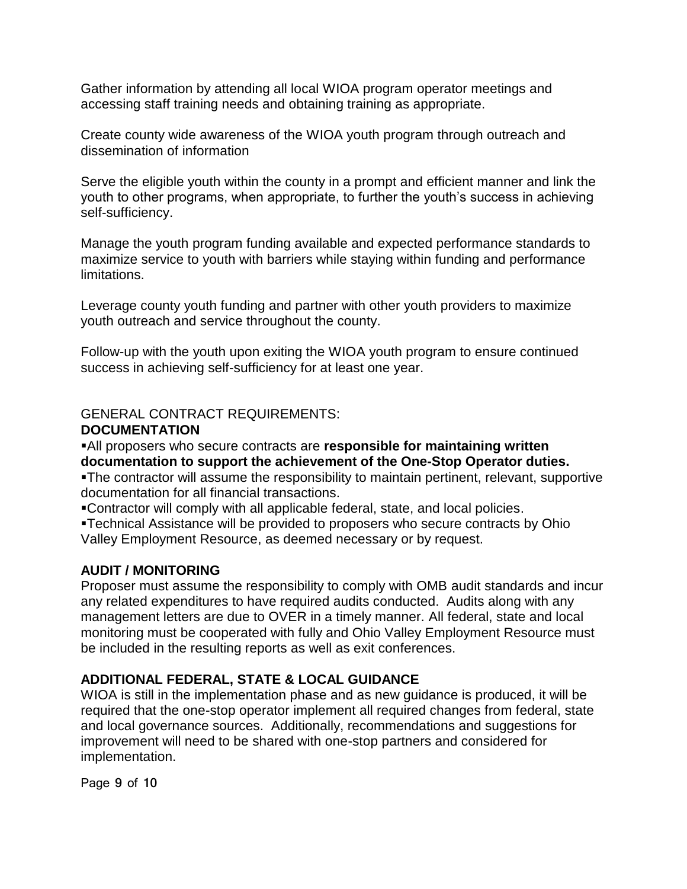Gather information by attending all local WIOA program operator meetings and accessing staff training needs and obtaining training as appropriate.

Create county wide awareness of the WIOA youth program through outreach and dissemination of information

Serve the eligible youth within the county in a prompt and efficient manner and link the youth to other programs, when appropriate, to further the youth's success in achieving self-sufficiency.

Manage the youth program funding available and expected performance standards to maximize service to youth with barriers while staying within funding and performance limitations.

Leverage county youth funding and partner with other youth providers to maximize youth outreach and service throughout the county.

Follow-up with the youth upon exiting the WIOA youth program to ensure continued success in achieving self-sufficiency for at least one year.

#### GENERAL CONTRACT REQUIREMENTS: **DOCUMENTATION**

All proposers who secure contracts are **responsible for maintaining written documentation to support the achievement of the One-Stop Operator duties.** The contractor will assume the responsibility to maintain pertinent, relevant, supportive documentation for all financial transactions.

Contractor will comply with all applicable federal, state, and local policies.

Technical Assistance will be provided to proposers who secure contracts by Ohio Valley Employment Resource, as deemed necessary or by request.

## **AUDIT / MONITORING**

Proposer must assume the responsibility to comply with OMB audit standards and incur any related expenditures to have required audits conducted. Audits along with any management letters are due to OVER in a timely manner. All federal, state and local monitoring must be cooperated with fully and Ohio Valley Employment Resource must be included in the resulting reports as well as exit conferences.

## **ADDITIONAL FEDERAL, STATE & LOCAL GUIDANCE**

WIOA is still in the implementation phase and as new guidance is produced, it will be required that the one-stop operator implement all required changes from federal, state and local governance sources. Additionally, recommendations and suggestions for improvement will need to be shared with one-stop partners and considered for implementation.

Page **9** of **10**